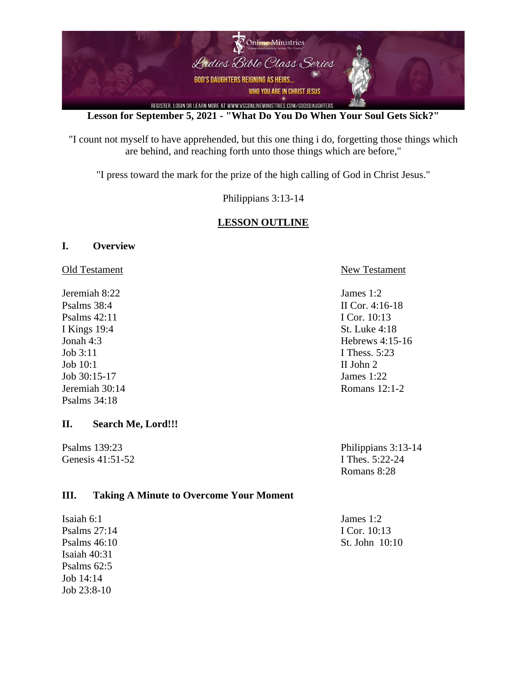

**Lesson for September 5, 2021 - "What Do You Do When Your Soul Gets Sick?"**

"I count not myself to have apprehended, but this one thing i do, forgetting those things which are behind, and reaching forth unto those things which are before,"

"I press toward the mark for the prize of the high calling of God in Christ Jesus."

Philippians 3:13-14

## **LESSON OUTLINE**

#### **I. Overview**

Jeremiah 8:22 James 1:2 Psalms 38:4 II Cor. 4:16-18 Psalms 42:11 I Cor. 10:13 I Kings 19:4 St. Luke 4:18 Job 3:11 **I Thess.** 5:23 Job 10:1 II John 2 Job 30:15-17 James 1:22 Jeremiah 30:14 Romans 12:1-2 Psalms 34:18

#### **II. Search Me, Lord!!!**

Genesis 41:51-52 **I Thes.** 5:22-24

#### Old Testament New Testament

Jonah 4:3 Hebrews 4:15-16

Psalms 139:23 Philippians 3:13-14 Romans 8:28

### **III. Taking A Minute to Overcome Your Moment**

Isaiah 6:1 James 1:2 Psalms 27:14 **I Cor.** 10:13 Isaiah 40:31 Psalms 62:5 Job 14:14 Job 23:8-10

Psalms 46:10 St. John 10:10